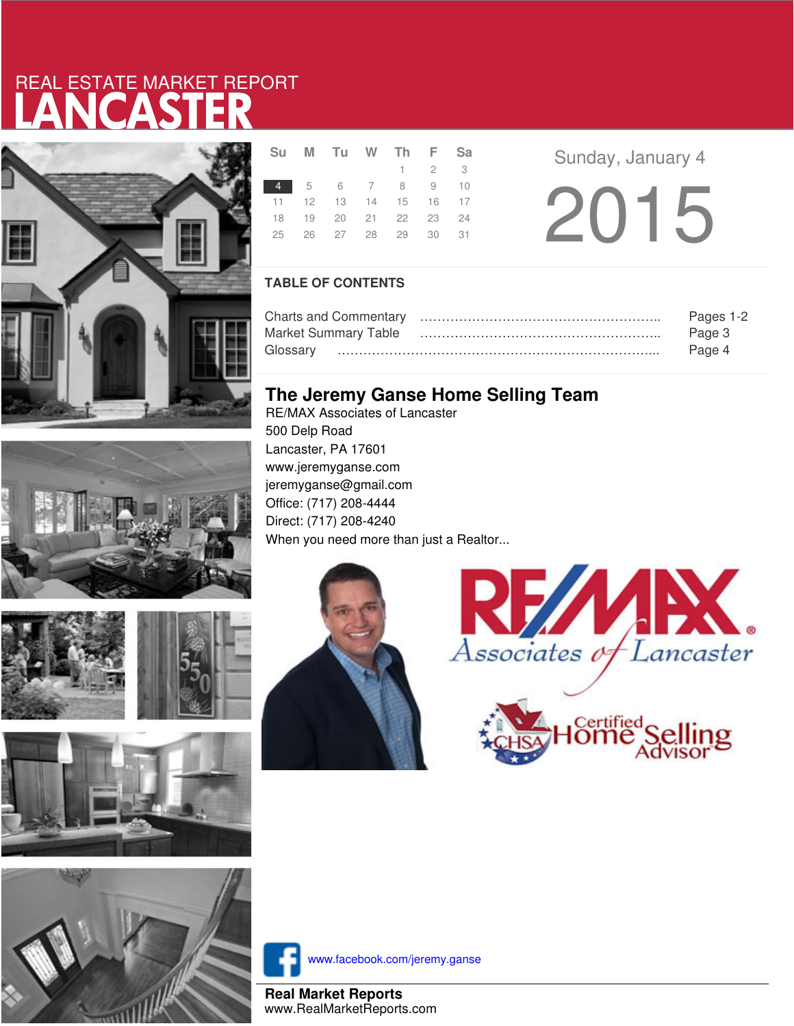# LANCASTER REAL ESTATE MARKET REPORT









|  | Su M Tu W Th F Sa                      |  |                     |  |  |
|--|----------------------------------------|--|---------------------|--|--|
|  |                                        |  | $1 \quad 2 \quad 3$ |  |  |
|  | 4 5 6 7 8 9 10                         |  |                     |  |  |
|  | 11  12  13  14  15  16  17             |  |                     |  |  |
|  | 18 19 20 21 22 23 24                   |  |                     |  |  |
|  | 25    26    27    28    29    30    31 |  |                     |  |  |
|  |                                        |  |                     |  |  |

**Sunday, January 4** 2015

### **TABLE OF CONTENTS**

|                      | Pages 1-2 |
|----------------------|-----------|
| Market Summary Table | Page 3    |
|                      | Page 4    |

## **The Jeremy Ganse Home Selling Team**

RE/MAX Associates of Lancaster 500 Delp Road Lancaster, PA 17601 www.jeremyganse.com jeremyganse@gmail.com Office: (717) 208-4444 Direct: (717) 208-4240 When you need more than just a Realtor...







www.facebook.com/jeremy.ganse

**Real Market Reports** www.RealMarketReports.com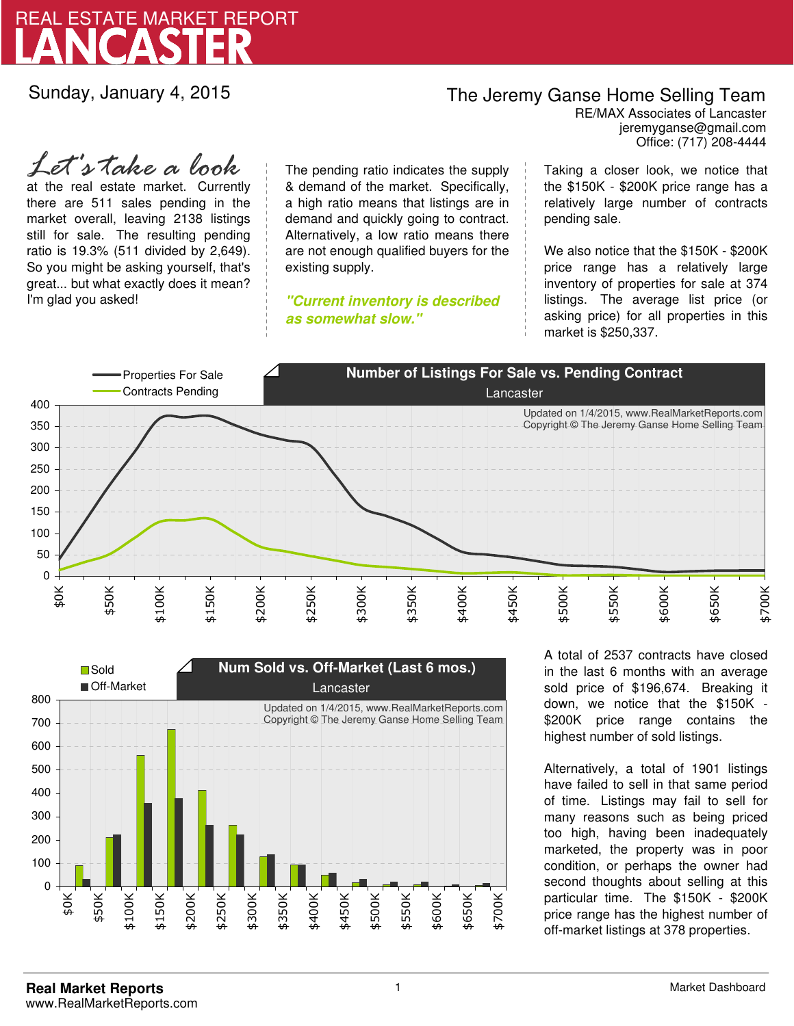

Sunday, January 4, 2015

## The Jeremy Ganse Home Selling Team

jeremyganse@gmail.com RE/MAX Associates of Lancaster Office: (717) 208-4444

at the real estate market. Currently there are 511 sales pending in the market overall, leaving 2138 listings still for sale. The resulting pending ratio is 19.3% (511 divided by 2,649). So you might be asking yourself, that's great... but what exactly does it mean? I'm glad you asked! *Let's take a look*

The pending ratio indicates the supply & demand of the market. Specifically, a high ratio means that listings are in demand and quickly going to contract. Alternatively, a low ratio means there are not enough qualified buyers for the existing supply.

**"Current inventory is described as somewhat slow."**

Taking a closer look, we notice that the \$150K - \$200K price range has a relatively large number of contracts pending sale.

We also notice that the \$150K - \$200K price range has a relatively large inventory of properties for sale at 374 listings. The average list price (or asking price) for all properties in this market is \$250,337.





A total of 2537 contracts have closed in the last 6 months with an average sold price of \$196,674. Breaking it down, we notice that the \$150K - \$200K price range contains the highest number of sold listings.

Alternatively, a total of 1901 listings have failed to sell in that same period of time. Listings may fail to sell for many reasons such as being priced too high, having been inadequately marketed, the property was in poor condition, or perhaps the owner had second thoughts about selling at this particular time. The \$150K - \$200K price range has the highest number of off-market listings at 378 properties.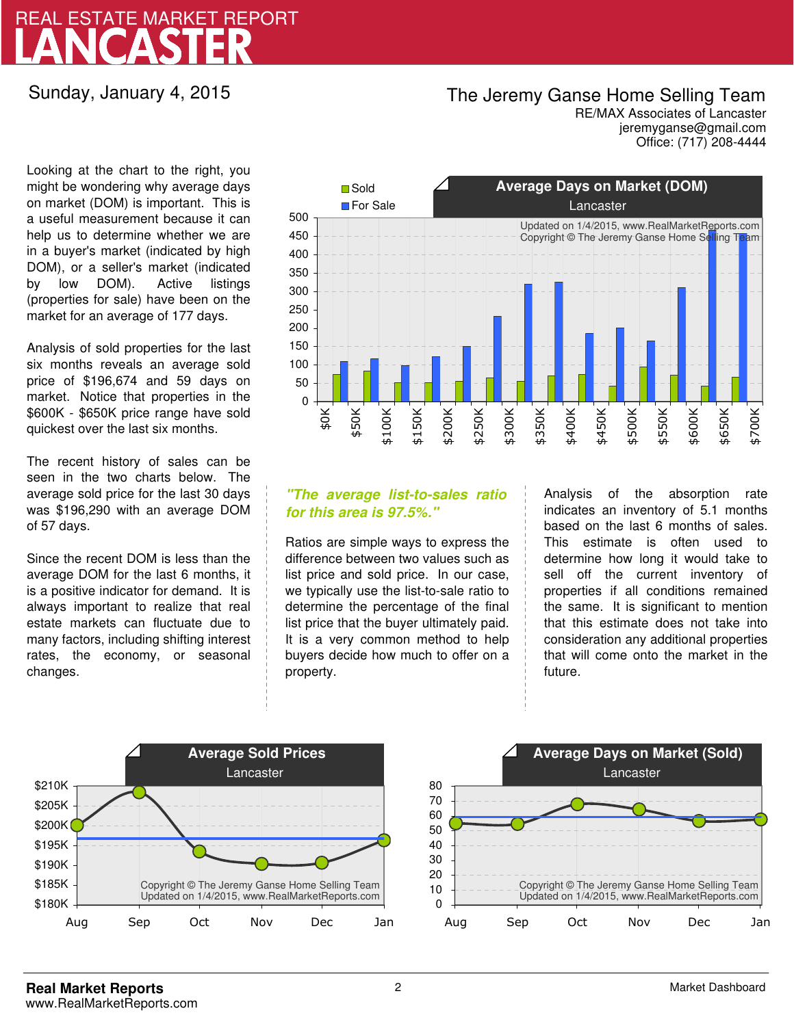# LANCASTER REAL ESTATE MARKET REPORT

### Sunday, January 4, 2015

## The Jeremy Ganse Home Selling Team

jeremyganse@gmail.com RE/MAX Associates of Lancaster Office: (717) 208-4444

Looking at the chart to the right, you might be wondering why average days on market (DOM) is important. This is a useful measurement because it can help us to determine whether we are in a buyer's market (indicated by high DOM), or a seller's market (indicated by low DOM). Active listings (properties for sale) have been on the market for an average of 177 days.

Analysis of sold properties for the last six months reveals an average sold price of \$196,674 and 59 days on market. Notice that properties in the \$600K - \$650K price range have sold quickest over the last six months.

The recent history of sales can be seen in the two charts below. The average sold price for the last 30 days was \$196,290 with an average DOM of 57 days.

Since the recent DOM is less than the average DOM for the last 6 months, it is a positive indicator for demand. It is always important to realize that real estate markets can fluctuate due to many factors, including shifting interest rates, the economy, or seasonal changes.



### **"The average list-to-sales ratio for this area is 97.5%."**

Ratios are simple ways to express the difference between two values such as list price and sold price. In our case, we typically use the list-to-sale ratio to determine the percentage of the final list price that the buyer ultimately paid. It is a very common method to help buyers decide how much to offer on a property.

Analysis of the absorption rate indicates an inventory of 5.1 months based on the last 6 months of sales. This estimate is often used to determine how long it would take to sell off the current inventory of properties if all conditions remained the same. It is significant to mention that this estimate does not take into consideration any additional properties that will come onto the market in the future.



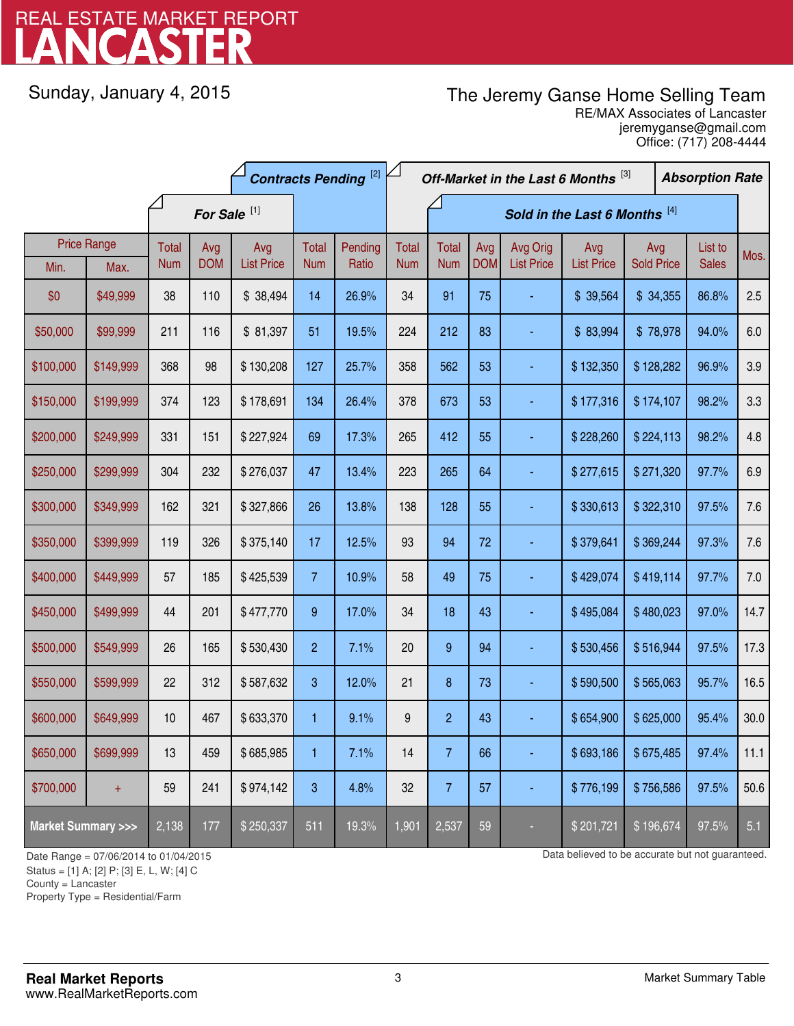# LANCASTER REAL ESTATE MARKET REPORT

Sunday, January 4, 2015

# The Jeremy Ganse Home Selling Team

jeremyganse@gmail.com RE/MAX Associates of Lancaster Office: (717) 208-4444

|                                    |                    | <b>Contracts Pending [2]</b> |                         |                   |                |         | Off-Market in the Last 6 Months [3]<br><b>Absorption Rate</b> |                               |            |                   |                        |                   |  |              |      |
|------------------------------------|--------------------|------------------------------|-------------------------|-------------------|----------------|---------|---------------------------------------------------------------|-------------------------------|------------|-------------------|------------------------|-------------------|--|--------------|------|
|                                    |                    |                              | For Sale <sup>[1]</sup> |                   |                |         |                                                               | Sold in the Last 6 Months [4] |            |                   |                        |                   |  |              |      |
|                                    | <b>Price Range</b> | Total                        | Avg                     | Avg               | Total          | Pending | <b>Total</b>                                                  | <b>Total</b>                  | Avg        | Avg Orig          | Avg                    | Avg               |  | List to      | Mos. |
| Min.                               | Max.               | <b>Num</b>                   | <b>DOM</b>              | <b>List Price</b> | <b>Num</b>     | Ratio   | <b>Num</b>                                                    | <b>Num</b>                    | <b>DOM</b> | <b>List Price</b> | <b>List Price</b>      | <b>Sold Price</b> |  | <b>Sales</b> |      |
| \$0                                | \$49,999           | 38                           | 110                     | \$38,494          | 14             | 26.9%   | 34                                                            | 91                            | 75         |                   | \$ 39,564              | \$34,355          |  | 86.8%        | 2.5  |
| \$50,000                           | \$99,999           | 211                          | 116                     | \$81,397          | 51             | 19.5%   | 224                                                           | 212                           | 83         |                   | \$83,994               | \$78,978          |  | 94.0%        | 6.0  |
| \$100,000                          | \$149,999          | 368                          | 98                      | \$130,208         | 127            | 25.7%   | 358                                                           | 562                           | 53         |                   | \$132,350              | \$128,282         |  | 96.9%        | 3.9  |
| \$150,000                          | \$199,999          | 374                          | 123                     | \$178,691         | 134            | 26.4%   | 378                                                           | 673                           | 53         |                   | \$177,316<br>\$174,107 |                   |  | 98.2%        | 3.3  |
| \$200,000                          | \$249,999          | 331                          | 151                     | \$227,924         | 69             | 17.3%   | 265                                                           | 412                           | 55         |                   | \$224,113<br>\$228,260 |                   |  | 98.2%        | 4.8  |
| \$250,000                          | \$299,999          | 304                          | 232                     | \$276,037         | 47             | 13.4%   | 223                                                           | 265                           | 64         |                   | \$277,615              | \$271,320         |  | 97.7%        | 6.9  |
| \$300,000                          | \$349,999          | 162                          | 321                     | \$327,866         | 26             | 13.8%   | 138                                                           | 128                           | 55         |                   | \$330,613              | \$322,310         |  | 97.5%        | 7.6  |
| \$350,000                          | \$399,999          | 119                          | 326                     | \$375,140         | 17             | 12.5%   | 93                                                            | 94                            | 72         |                   | \$379,641              | \$369,244         |  | 97.3%        | 7.6  |
| \$400,000                          | \$449,999          | 57                           | 185                     | \$425,539         | $\overline{7}$ | 10.9%   | 58                                                            | 49                            | 75         |                   | \$429,074              | \$419,114         |  | 97.7%        | 7.0  |
| \$450,000                          | \$499,999          | 44                           | 201                     | \$477,770         | 9              | 17.0%   | 34                                                            | 18                            | 43         |                   | \$495,084              | \$480,023         |  | 97.0%        | 14.7 |
| \$500,000                          | \$549,999          | 26                           | 165                     | \$530,430         | $\overline{2}$ | 7.1%    | 20                                                            | 9                             | 94         |                   | \$530,456              | \$516,944         |  | 97.5%        | 17.3 |
| \$550,000                          | \$599,999          | 22                           | 312                     | \$587,632         | 3              | 12.0%   | 21                                                            | 8                             | 73         |                   | \$590,500              | \$565,063         |  | 95.7%        | 16.5 |
| \$600,000                          | \$649,999          | 10                           | 467                     | \$633,370         | 1              | 9.1%    | 9                                                             | $\overline{c}$                | 43         |                   | \$654,900              | \$625,000         |  | 95.4%        | 30.0 |
| \$650,000                          | \$699,999          | 13                           | 459                     | \$685,985         | 1              | 7.1%    | 14                                                            | $\overline{7}$                | 66         |                   | \$693,186              | \$675,485         |  | 97.4%        | 11.1 |
| \$700,000                          | $+$                | 59                           | 241                     | \$974,142         | 3              | 4.8%    | 32                                                            | $\overline{7}$                | 57         |                   | \$776,199              | \$756,586         |  | 97.5%        | 50.6 |
| <b>Market Summary &gt;&gt;&gt;</b> |                    | 2,138                        | 177                     | \$250,337         | 511            | 19.3%   | 1,901                                                         | 2,537                         | 59         |                   | \$201,721              | \$196,674         |  | 97.5%        | 5.1  |

Status = [1] A; [2] P; [3] E, L, W; [4] C

County = Lancaster

1

Property Type = Residential/Farm

Date Range = 07/06/2014 to 01/04/2015 Date Range = 07/06/2014 to 01/04/2015